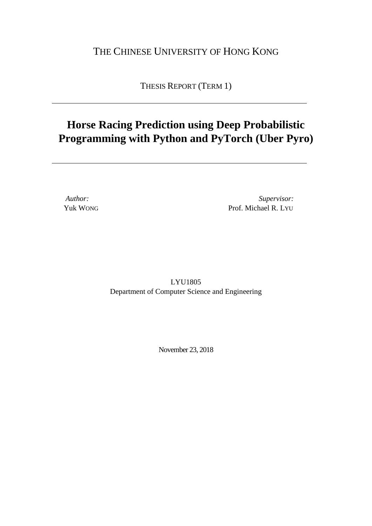### THE CHINESE UNIVERSITY OF HONG KONG

THESIS REPORT (TERM 1)

### **Horse Racing Prediction using Deep Probabilistic Programming with Python and PyTorch (Uber Pyro)**

*Author: Supervisor:* Yuk WONG Prof. Michael R. LYU

> LYU1805 Department of Computer Science and Engineering

> > November 23, 2018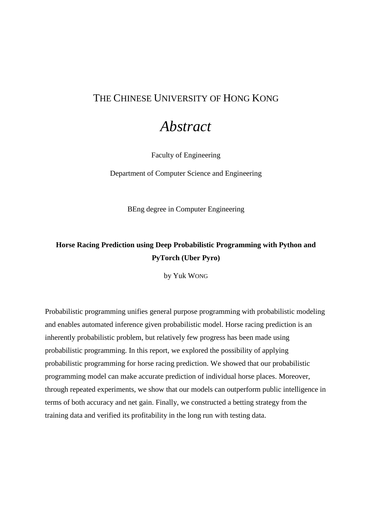### <span id="page-2-0"></span>THE CHINESE UNIVERSITY OF HONG KONG

## *Abstract*

Faculty of Engineering

Department of Computer Science and Engineering

BEng degree in Computer Engineering

### **Horse Racing Prediction using Deep Probabilistic Programming with Python and PyTorch (Uber Pyro)**

by Yuk WONG

Probabilistic programming unifies general purpose programming with probabilistic modeling and enables automated inference given probabilistic model. Horse racing prediction is an inherently probabilistic problem, but relatively few progress has been made using probabilistic programming. In this report, we explored the possibility of applying probabilistic programming for horse racing prediction. We showed that our probabilistic programming model can make accurate prediction of individual horse places. Moreover, through repeated experiments, we show that our models can outperform public intelligence in terms of both accuracy and net gain. Finally, we constructed a betting strategy from the training data and verified its profitability in the long run with testing data.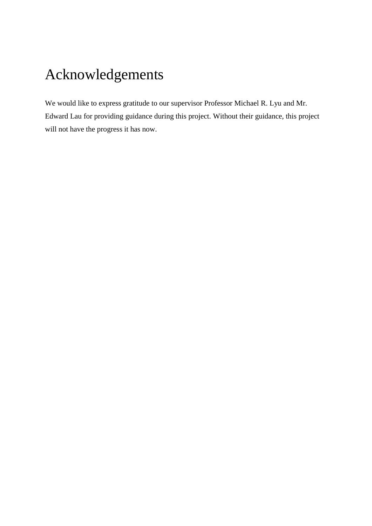# <span id="page-4-0"></span>Acknowledgements

We would like to express gratitude to our supervisor Professor Michael R. Lyu and Mr. Edward Lau for providing guidance during this project. Without their guidance, this project will not have the progress it has now.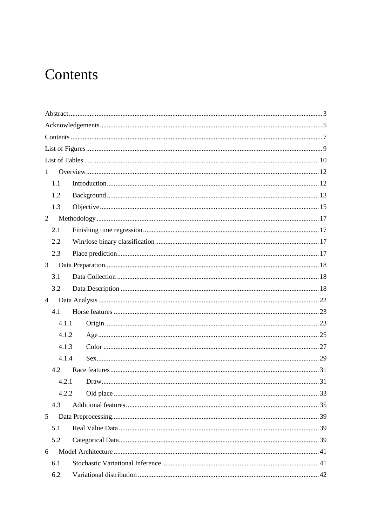# <span id="page-6-0"></span>Contents

| $\mathbf{1}$   |  |  |  |  |
|----------------|--|--|--|--|
| 1.1            |  |  |  |  |
| 1.2            |  |  |  |  |
| 1.3            |  |  |  |  |
| $\overline{2}$ |  |  |  |  |
| 2.1            |  |  |  |  |
| 2.2            |  |  |  |  |
| 2.3            |  |  |  |  |
| 3              |  |  |  |  |
| 3.1            |  |  |  |  |
| 3.2            |  |  |  |  |
| $\overline{4}$ |  |  |  |  |
| 4.1            |  |  |  |  |
| 4.1.1          |  |  |  |  |
| 4.1.2          |  |  |  |  |
| 4.1.3          |  |  |  |  |
| 4.1.4          |  |  |  |  |
| 4.2            |  |  |  |  |
| 4.2.1          |  |  |  |  |
| 4.2.2          |  |  |  |  |
| 4.3            |  |  |  |  |
| 5              |  |  |  |  |
| 5.1            |  |  |  |  |
| 5.2            |  |  |  |  |
| 6              |  |  |  |  |
| 6.1            |  |  |  |  |
| 6.2            |  |  |  |  |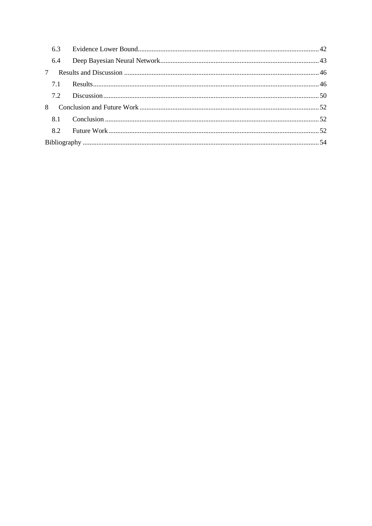|                | 6.3 |  |
|----------------|-----|--|
|                | 6.4 |  |
| $7\phantom{0}$ |     |  |
|                |     |  |
|                |     |  |
| 8              |     |  |
|                |     |  |
|                |     |  |
|                |     |  |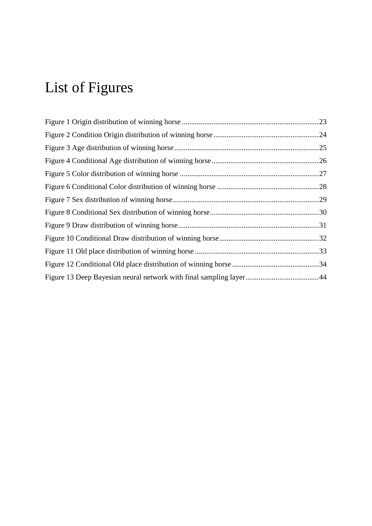# <span id="page-8-0"></span>List of Figures

| .24 |
|-----|
| .25 |
|     |
|     |
|     |
|     |
|     |
|     |
|     |
|     |
|     |
|     |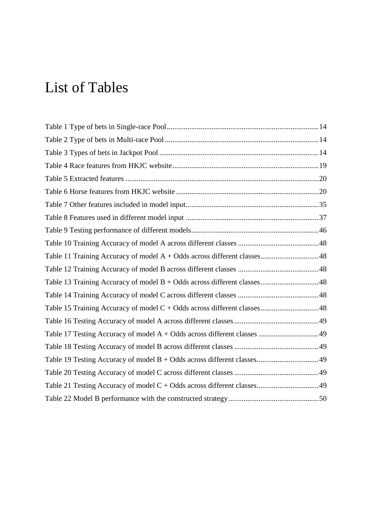# <span id="page-9-0"></span>List of Tables

| Table 11 Training Accuracy of model A + Odds across different classes48 |  |
|-------------------------------------------------------------------------|--|
|                                                                         |  |
| Table 13 Training Accuracy of model B + Odds across different classes48 |  |
|                                                                         |  |
| Table 15 Training Accuracy of model C + Odds across different classes48 |  |
|                                                                         |  |
| Table 17 Testing Accuracy of model A + Odds across different classes 49 |  |
|                                                                         |  |
| Table 19 Testing Accuracy of model B + Odds across different classes49  |  |
|                                                                         |  |
|                                                                         |  |
|                                                                         |  |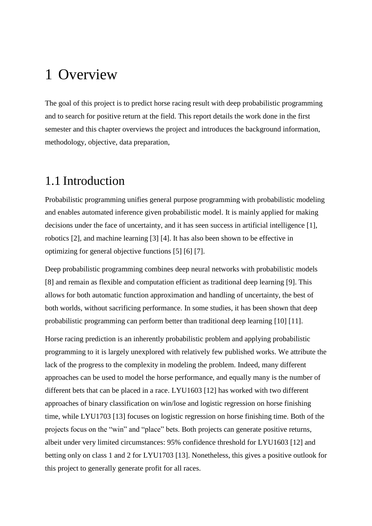## <span id="page-11-0"></span>1 Overview

The goal of this project is to predict horse racing result with deep probabilistic programming and to search for positive return at the field. This report details the work done in the first semester and this chapter overviews the project and introduces the background information, methodology, objective, data preparation,

### <span id="page-11-1"></span>1.1 Introduction

Probabilistic programming unifies general purpose programming with probabilistic modeling and enables automated inference given probabilistic model. It is mainly applied for making decisions under the face of uncertainty, and it has seen success in artificial intelligence [1], robotics [2], and machine learning [3] [4]. It has also been shown to be effective in optimizing for general objective functions [5] [6] [7].

Deep probabilistic programming combines deep neural networks with probabilistic models [8] and remain as flexible and computation efficient as traditional deep learning [9]. This allows for both automatic function approximation and handling of uncertainty, the best of both worlds, without sacrificing performance. In some studies, it has been shown that deep probabilistic programming can perform better than traditional deep learning [10] [11].

Horse racing prediction is an inherently probabilistic problem and applying probabilistic programming to it is largely unexplored with relatively few published works. We attribute the lack of the progress to the complexity in modeling the problem. Indeed, many different approaches can be used to model the horse performance, and equally many is the number of different bets that can be placed in a race. LYU1603 [12] has worked with two different approaches of binary classification on win/lose and logistic regression on horse finishing time, while LYU1703 [13] focuses on logistic regression on horse finishing time. Both of the projects focus on the "win" and "place" bets. Both projects can generate positive returns, albeit under very limited circumstances: 95% confidence threshold for LYU1603 [12] and betting only on class 1 and 2 for LYU1703 [13]. Nonetheless, this gives a positive outlook for this project to generally generate profit for all races.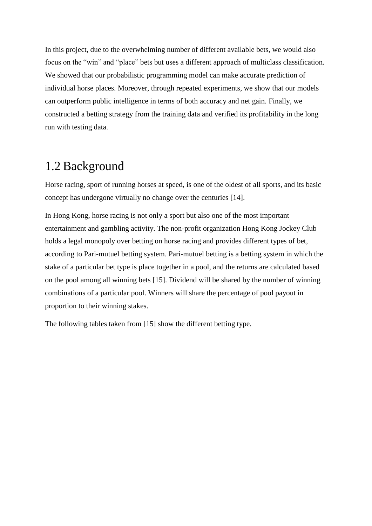In this project, due to the overwhelming number of different available bets, we would also focus on the "win" and "place" bets but uses a different approach of multiclass classification. We showed that our probabilistic programming model can make accurate prediction of individual horse places. Moreover, through repeated experiments, we show that our models can outperform public intelligence in terms of both accuracy and net gain. Finally, we constructed a betting strategy from the training data and verified its profitability in the long run with testing data.

### <span id="page-12-0"></span>1.2 Background

Horse racing, sport of running horses at speed, is one of the oldest of all sports, and its basic concept has undergone virtually no change over the centuries [14].

In Hong Kong, horse racing is not only a sport but also one of the most important entertainment and gambling activity. The non-profit organization Hong Kong Jockey Club holds a legal monopoly over betting on horse racing and provides different types of bet, according to Pari-mutuel betting system. Pari-mutuel betting is a betting system in which the stake of a particular bet type is place together in a pool, and the returns are calculated based on the pool among all winning bets [15]. Dividend will be shared by the number of winning combinations of a particular pool. Winners will share the percentage of pool payout in proportion to their winning stakes.

The following tables taken from [15] show the different betting type.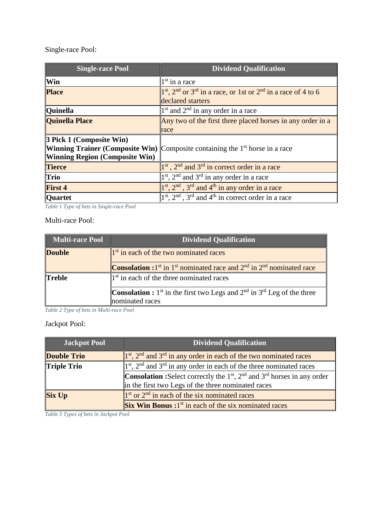Single-race Pool:

| <b>Single-race Pool</b>                                           | <b>Dividend Qualification</b>                                                              |  |  |  |
|-------------------------------------------------------------------|--------------------------------------------------------------------------------------------|--|--|--|
| Win                                                               | $1st$ in a race                                                                            |  |  |  |
| <b>Place</b>                                                      | $1st$ , $2nd$ or $3rd$ in a race, or 1st or $2nd$ in a race of 4 to 6<br>declared starters |  |  |  |
| <b>Quinella</b>                                                   | 1 <sup>st</sup> and 2 <sup>nd</sup> in any order in a race                                 |  |  |  |
| <b>Quinella Place</b>                                             | Any two of the first three placed horses in any order in a                                 |  |  |  |
|                                                                   | race                                                                                       |  |  |  |
| 3 Pick 1 (Composite Win)<br><b>Winning Region (Composite Win)</b> | <b>Winning Trainer (Composite Win)</b> Composite containing the $1st$ horse in a race      |  |  |  |
| <b>Tierce</b>                                                     | $1st$ , $2nd$ and $3rd$ in correct order in a race                                         |  |  |  |
| <b>Trio</b>                                                       | $1st$ , $2nd$ and $3rd$ in any order in a race                                             |  |  |  |
| <b>First 4</b>                                                    | $1st$ , $2nd$ , $3rd$ and $4th$ in any order in a race                                     |  |  |  |
| <b>Quartet</b>                                                    | $1st$ , $2nd$ , $3rd$ and $4th$ in correct order in a race                                 |  |  |  |

<span id="page-13-0"></span>*Table 1 Type of bets in Single-race Pool*

Multi-race Pool:

| <b>Multi-race Pool</b> | <b>Dividend Qualification</b>                                                                            |  |  |  |
|------------------------|----------------------------------------------------------------------------------------------------------|--|--|--|
| <b>Double</b>          | $\ 1^{st}$ in each of the two nominated races                                                            |  |  |  |
|                        | <b>Consolation :</b> 1 <sup>st</sup> in 1 <sup>st</sup> nominated race and $2nd$ in $2nd$ nominated race |  |  |  |
| <b>Treble</b>          | $\ 1^{\text{st}}\ $ in each of the three nominated races                                                 |  |  |  |
|                        | <b>Consolation :</b> 1 <sup>st</sup> in the first two Legs and $2^{nd}$ in $3^{rd}$ Leg of the three     |  |  |  |
|                        | nominated races                                                                                          |  |  |  |

<span id="page-13-1"></span>*Table 2 Type of bets in Multi-race Pool*

### Jackpot Pool:

| <b>Jackpot Pool</b> | <b>Dividend Qualification</b>                                                                      |  |  |  |  |
|---------------------|----------------------------------------------------------------------------------------------------|--|--|--|--|
| <b>Double Trio</b>  | $\left 1^{st}, 2^{nd} \right $ and 3 <sup>rd</sup> in any order in each of the two nominated races |  |  |  |  |
| <b>Triple Trio</b>  | $1st$ , $2nd$ and $3rd$ in any order in each of the three nominated races                          |  |  |  |  |
|                     | <b>Consolation :</b> Select correctly the $1st$ , $2nd$ and $3rd$ horses in any order              |  |  |  |  |
|                     | in the first two Legs of the three nominated races                                                 |  |  |  |  |
| <b>Six Up</b>       | $1st$ or $2nd$ in each of the six nominated races                                                  |  |  |  |  |
|                     | $\left\  \right\ $ Six Win Bonus: $1st$ in each of the six nominated races                         |  |  |  |  |

<span id="page-13-2"></span>*Table 3 Types of bets in Jackpot Pool*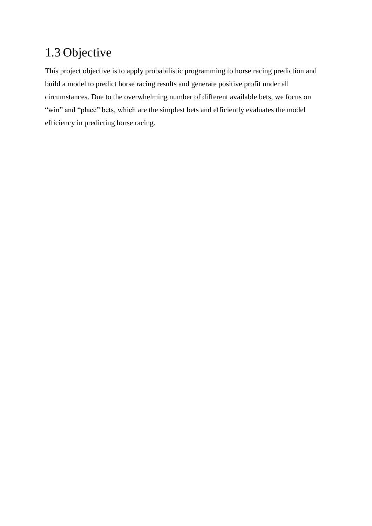## <span id="page-14-0"></span>1.3 Objective

This project objective is to apply probabilistic programming to horse racing prediction and build a model to predict horse racing results and generate positive profit under all circumstances. Due to the overwhelming number of different available bets, we focus on "win" and "place" bets, which are the simplest bets and efficiently evaluates the model efficiency in predicting horse racing.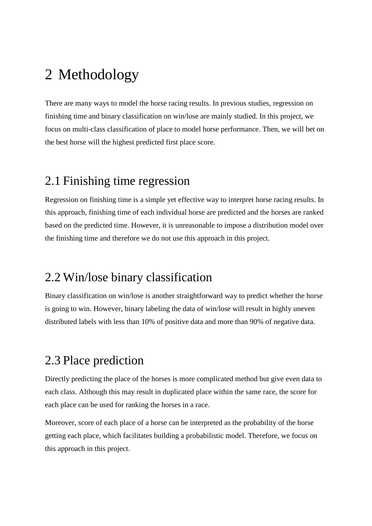# <span id="page-16-0"></span>2 Methodology

There are many ways to model the horse racing results. In previous studies, regression on finishing time and binary classification on win/lose are mainly studied. In this project, we focus on multi-class classification of place to model horse performance. Then, we will bet on the best horse will the highest predicted first place score.

## <span id="page-16-1"></span>2.1 Finishing time regression

Regression on finishing time is a simple yet effective way to interpret horse racing results. In this approach, finishing time of each individual horse are predicted and the horses are ranked based on the predicted time. However, it is unreasonable to impose a distribution model over the finishing time and therefore we do not use this approach in this project.

## <span id="page-16-2"></span>2.2 Win/lose binary classification

Binary classification on win/lose is another straightforward way to predict whether the horse is going to win. However, binary labeling the data of win/lose will result in highly uneven distributed labels with less than 10% of positive data and more than 90% of negative data.

### <span id="page-16-3"></span>2.3 Place prediction

Directly predicting the place of the horses is more complicated method but give even data to each class. Although this may result in duplicated place within the same race, the score for each place can be used for ranking the horses in a race.

Moreover, score of each place of a horse can be interpreted as the probability of the horse getting each place, which facilitates building a probabilistic model. Therefore, we focus on this approach in this project.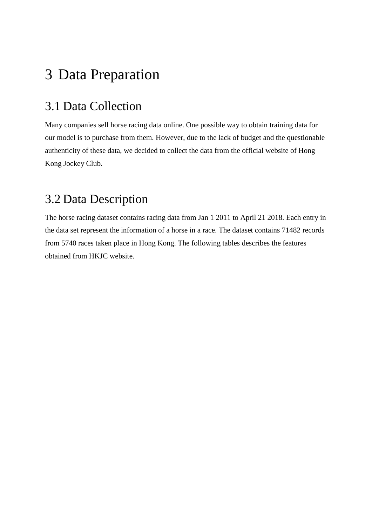# <span id="page-17-0"></span>3 Data Preparation

## <span id="page-17-1"></span>3.1 Data Collection

Many companies sell horse racing data online. One possible way to obtain training data for our model is to purchase from them. However, due to the lack of budget and the questionable authenticity of these data, we decided to collect the data from the official website of Hong Kong Jockey Club.

## <span id="page-17-2"></span>3.2 Data Description

The horse racing dataset contains racing data from Jan 1 2011 to April 21 2018. Each entry in the data set represent the information of a horse in a race. The dataset contains 71482 records from 5740 races taken place in Hong Kong. The following tables describes the features obtained from HKJC website.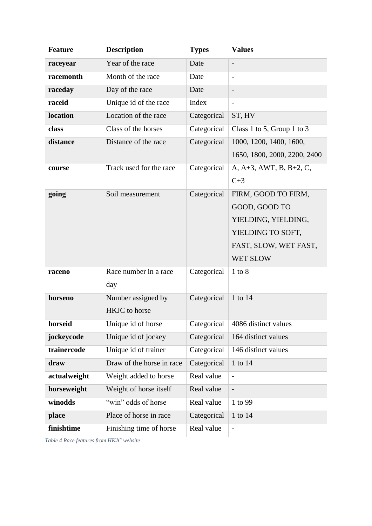| <b>Feature</b> | <b>Description</b>        | <b>Types</b> | <b>Values</b>                      |
|----------------|---------------------------|--------------|------------------------------------|
| raceyear       | Year of the race          | Date         |                                    |
| racemonth      | Month of the race         | Date         |                                    |
| raceday        | Day of the race           | Date         |                                    |
| raceid         | Unique id of the race     | Index        |                                    |
| location       | Location of the race      | Categorical  | ST, HV                             |
| class          | Class of the horses       | Categorical  | Class 1 to 5, Group 1 to 3         |
| distance       | Distance of the race      | Categorical  | 1000, 1200, 1400, 1600,            |
|                |                           |              | 1650, 1800, 2000, 2200, 2400       |
| course         | Track used for the race   | Categorical  | A, A+3, AWT, B, B+2, C,            |
|                |                           |              | $C+3$                              |
| going          | Soil measurement          | Categorical  | FIRM, GOOD TO FIRM,                |
|                |                           |              | GOOD, GOOD TO                      |
|                |                           |              | YIELDING, YIELDING,                |
|                |                           |              | YIELDING TO SOFT,                  |
|                |                           |              | FAST, SLOW, WET FAST,              |
|                |                           |              | WET SLOW                           |
| raceno         | Race number in a race     | Categorical  | $1$ to $8$                         |
|                | day                       |              |                                    |
| horseno        | Number assigned by        | Categorical  | 1 to 14                            |
|                | <b>HKJC</b> to horse      |              |                                    |
| horseid        | Unique id of horse        |              | Categorical   4086 distinct values |
| jockeycode     | Unique id of jockey       | Categorical  | 164 distinct values                |
| trainercode    | Unique id of trainer      | Categorical  | 146 distinct values                |
| draw           | Draw of the horse in race | Categorical  | 1 to 14                            |
| actualweight   | Weight added to horse     | Real value   | $\overline{\phantom{0}}$           |
| horseweight    | Weight of horse itself    | Real value   |                                    |
| winodds        | "win" odds of horse       | Real value   | 1 to 99                            |
| place          | Place of horse in race    | Categorical  | 1 to 14                            |
| finishtime     | Finishing time of horse   | Real value   | $\qquad \qquad -$                  |

<span id="page-18-0"></span>*Table 4 Race features from HKJC website*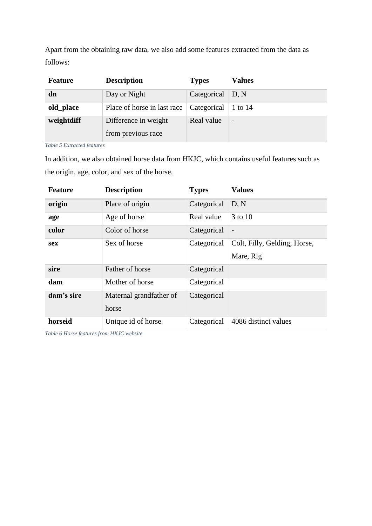Apart from the obtaining raw data, we also add some features extracted from the data as follows:

| <b>Feature</b> | <b>Description</b>          | <b>Types</b>             | <b>Values</b>            |
|----------------|-----------------------------|--------------------------|--------------------------|
| dn             | Day or Night                | Categorical $\vert$ D, N |                          |
| old_place      | Place of horse in last race | Categorical              | 1 to 14                  |
| weightdiff     | Difference in weight        | Real value               | $\overline{\phantom{a}}$ |
|                | from previous race          |                          |                          |

<span id="page-19-0"></span>*Table 5 Extracted features*

In addition, we also obtained horse data from HKJC, which contains useful features such as the origin, age, color, and sex of the horse.

| Feature    | <b>Description</b>               | <b>Types</b> | <b>Values</b>                             |
|------------|----------------------------------|--------------|-------------------------------------------|
| origin     | Place of origin                  | Categorical  | D, N                                      |
| age        | Age of horse                     | Real value   | 3 to 10                                   |
| color      | Color of horse                   | Categorical  |                                           |
| <b>sex</b> | Sex of horse                     | Categorical  | Colt, Filly, Gelding, Horse,<br>Mare, Rig |
| sire       | Father of horse                  | Categorical  |                                           |
| dam        | Mother of horse                  | Categorical  |                                           |
| dam's sire | Maternal grandfather of<br>horse | Categorical  |                                           |
| horseid    | Unique id of horse               | Categorical  | 4086 distinct values                      |

<span id="page-19-1"></span>*Table 6 Horse features from HKJC website*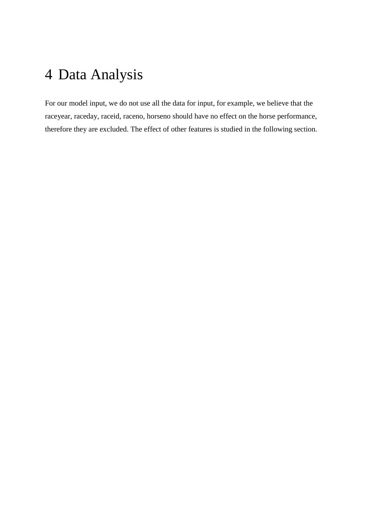# <span id="page-21-0"></span>4 Data Analysis

For our model input, we do not use all the data for input, for example, we believe that the raceyear, raceday, raceid, raceno, horseno should have no effect on the horse performance, therefore they are excluded. The effect of other features is studied in the following section.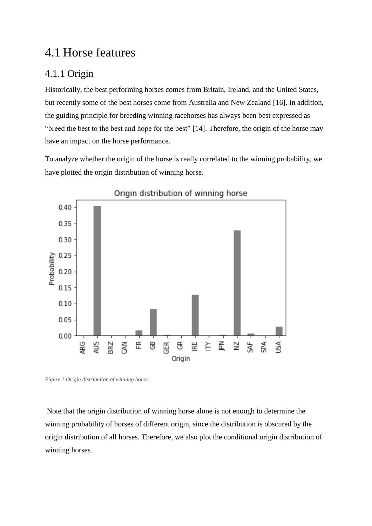## <span id="page-22-0"></span>4.1 Horse features

### <span id="page-22-1"></span>4.1.1 Origin

Historically, the best performing horses comes from Britain, Ireland, and the United States, but recently some of the best horses come from Australia and New Zealand [16]. In addition, the guiding principle for breeding winning racehorses has always been best expressed as "breed the best to the best and hope for the best" [14]. Therefore, the origin of the horse may have an impact on the horse performance.

To analyze whether the origin of the horse is really correlated to the winning probability, we have plotted the origin distribution of winning horse.



<span id="page-22-2"></span>*Figure 1 Origin distribution of winning horse*

Note that the origin distribution of winning horse alone is not enough to determine the winning probability of horses of different origin, since the distribution is obscured by the origin distribution of all horses. Therefore, we also plot the conditional origin distribution of winning horses.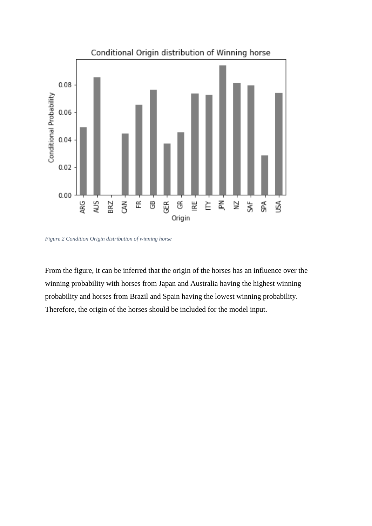

<span id="page-23-0"></span>*Figure 2 Condition Origin distribution of winning horse*

From the figure, it can be inferred that the origin of the horses has an influence over the winning probability with horses from Japan and Australia having the highest winning probability and horses from Brazil and Spain having the lowest winning probability. Therefore, the origin of the horses should be included for the model input.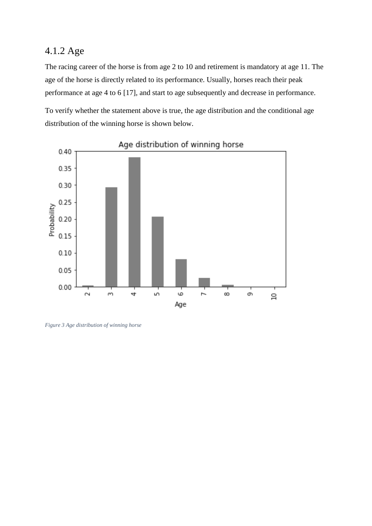### <span id="page-24-0"></span>4.1.2 Age

The racing career of the horse is from age 2 to 10 and retirement is mandatory at age 11. The age of the horse is directly related to its performance. Usually, horses reach their peak performance at age 4 to 6 [17], and start to age subsequently and decrease in performance.

To verify whether the statement above is true, the age distribution and the conditional age distribution of the winning horse is shown below.



### Age distribution of winning horse

<span id="page-24-1"></span>*Figure 3 Age distribution of winning horse*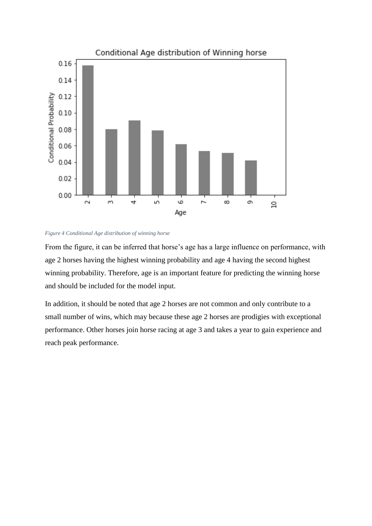

#### <span id="page-25-0"></span>*Figure 4 Conditional Age distribution of winning horse*

From the figure, it can be inferred that horse's age has a large influence on performance, with age 2 horses having the highest winning probability and age 4 having the second highest winning probability. Therefore, age is an important feature for predicting the winning horse and should be included for the model input.

In addition, it should be noted that age 2 horses are not common and only contribute to a small number of wins, which may because these age 2 horses are prodigies with exceptional performance. Other horses join horse racing at age 3 and takes a year to gain experience and reach peak performance.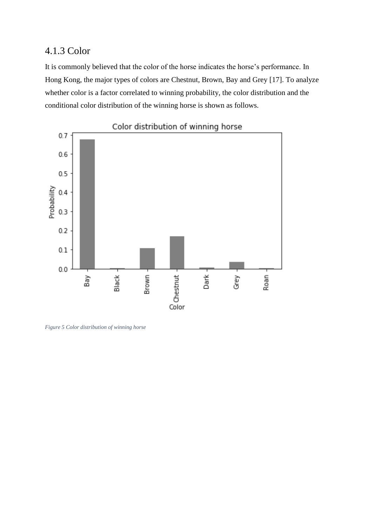### <span id="page-26-0"></span>4.1.3 Color

It is commonly believed that the color of the horse indicates the horse's performance. In Hong Kong, the major types of colors are Chestnut, Brown, Bay and Grey [17]. To analyze whether color is a factor correlated to winning probability, the color distribution and the conditional color distribution of the winning horse is shown as follows.



<span id="page-26-1"></span>*Figure 5 Color distribution of winning horse*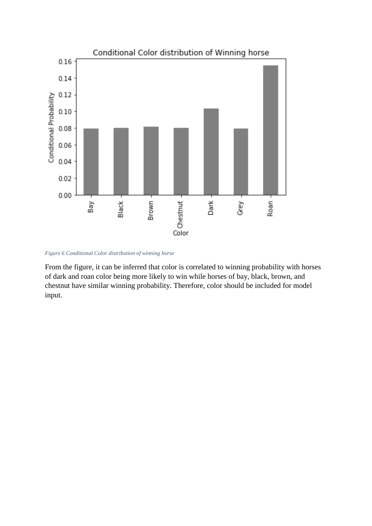

<span id="page-27-0"></span>*Figure 6 Conditional Color distribution of winning horse*

From the figure, it can be inferred that color is correlated to winning probability with horses of dark and roan color being more likely to win while horses of bay, black, brown, and chestnut have similar winning probability. Therefore, color should be included for model input.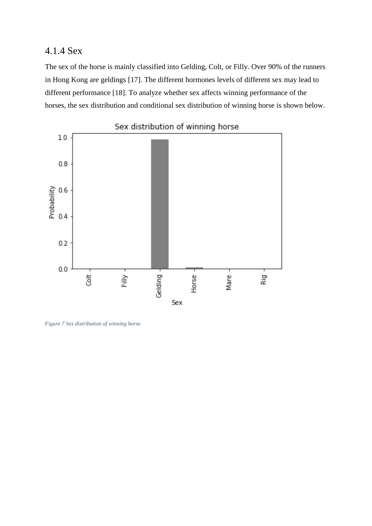### <span id="page-28-0"></span>4.1.4 Sex

The sex of the horse is mainly classified into Gelding, Colt, or Filly. Over 90% of the runners in Hong Kong are geldings [17]. The different hormones levels of different sex may lead to different performance [18]. To analyze whether sex affects winning performance of the horses, the sex distribution and conditional sex distribution of winning horse is shown below.



<span id="page-28-1"></span>*Figure 7 Sex distribution of winning horse*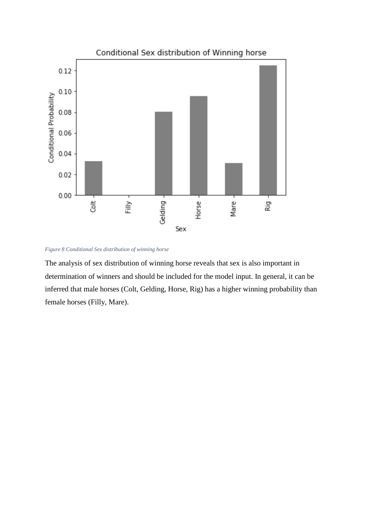

<span id="page-29-0"></span>*Figure 8 Conditional Sex distribution of winning horse*

The analysis of sex distribution of winning horse reveals that sex is also important in determination of winners and should be included for the model input. In general, it can be inferred that male horses (Colt, Gelding, Horse, Rig) has a higher winning probability than female horses (Filly, Mare).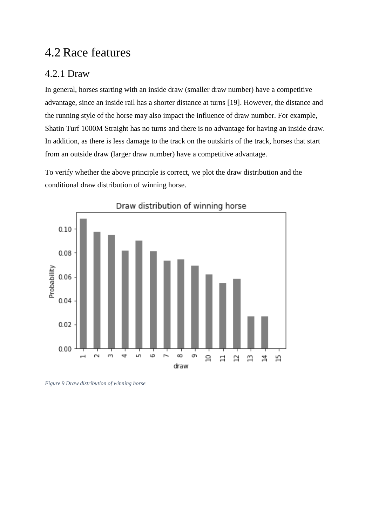## <span id="page-30-0"></span>4.2 Race features

### <span id="page-30-1"></span>4.2.1 Draw

In general, horses starting with an inside draw (smaller draw number) have a competitive advantage, since an inside rail has a shorter distance at turns [19]. However, the distance and the running style of the horse may also impact the influence of draw number. For example, Shatin Turf 1000M Straight has no turns and there is no advantage for having an inside draw. In addition, as there is less damage to the track on the outskirts of the track, horses that start from an outside draw (larger draw number) have a competitive advantage.

To verify whether the above principle is correct, we plot the draw distribution and the conditional draw distribution of winning horse.



<span id="page-30-2"></span>*Figure 9 Draw distribution of winning horse*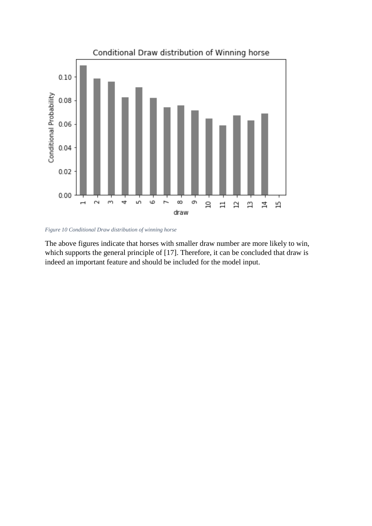

<span id="page-31-0"></span>*Figure 10 Conditional Draw distribution of winning horse*

The above figures indicate that horses with smaller draw number are more likely to win, which supports the general principle of [17]. Therefore, it can be concluded that draw is indeed an important feature and should be included for the model input.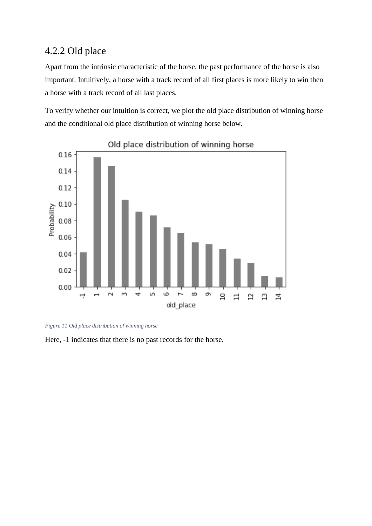### <span id="page-32-0"></span>4.2.2 Old place

Apart from the intrinsic characteristic of the horse, the past performance of the horse is also important. Intuitively, a horse with a track record of all first places is more likely to win then a horse with a track record of all last places.

To verify whether our intuition is correct, we plot the old place distribution of winning horse and the conditional old place distribution of winning horse below.



Old place distribution of winning horse

<span id="page-32-1"></span>

Here, -1 indicates that there is no past records for the horse.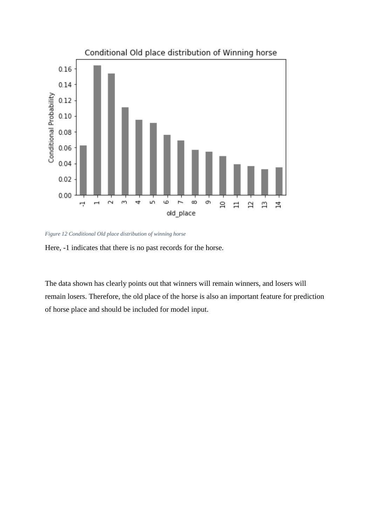

<span id="page-33-0"></span>*Figure 12 Conditional Old place distribution of winning horse*



The data shown has clearly points out that winners will remain winners, and losers will remain losers. Therefore, the old place of the horse is also an important feature for prediction of horse place and should be included for model input.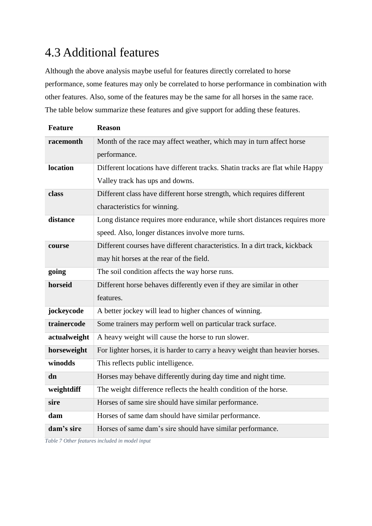## <span id="page-34-0"></span>4.3 Additional features

Although the above analysis maybe useful for features directly correlated to horse performance, some features may only be correlated to horse performance in combination with other features. Also, some of the features may be the same for all horses in the same race. The table below summarize these features and give support for adding these features.

| <b>Feature</b> | <b>Reason</b>                                                                 |
|----------------|-------------------------------------------------------------------------------|
| racemonth      | Month of the race may affect weather, which may in turn affect horse          |
|                | performance.                                                                  |
| location       | Different locations have different tracks. Shatin tracks are flat while Happy |
|                | Valley track has ups and downs.                                               |
| class          | Different class have different horse strength, which requires different       |
|                | characteristics for winning.                                                  |
| distance       | Long distance requires more endurance, while short distances requires more    |
|                | speed. Also, longer distances involve more turns.                             |
| course         | Different courses have different characteristics. In a dirt track, kickback   |
|                | may hit horses at the rear of the field.                                      |
| going          | The soil condition affects the way horse runs.                                |
| horseid        | Different horse behaves differently even if they are similar in other         |
|                | features.                                                                     |
| jockeycode     | A better jockey will lead to higher chances of winning.                       |
| trainercode    | Some trainers may perform well on particular track surface.                   |
| actualweight   | A heavy weight will cause the horse to run slower.                            |
| horseweight    | For lighter horses, it is harder to carry a heavy weight than heavier horses. |
| winodds        | This reflects public intelligence.                                            |
| dn             | Horses may behave differently during day time and night time.                 |
| weightdiff     | The weight difference reflects the health condition of the horse.             |
| sire           | Horses of same sire should have similar performance.                          |
| dam            | Horses of same dam should have similar performance.                           |
| dam's sire     | Horses of same dam's sire should have similar performance.                    |

<span id="page-34-1"></span>*Table 7 Other features included in model input*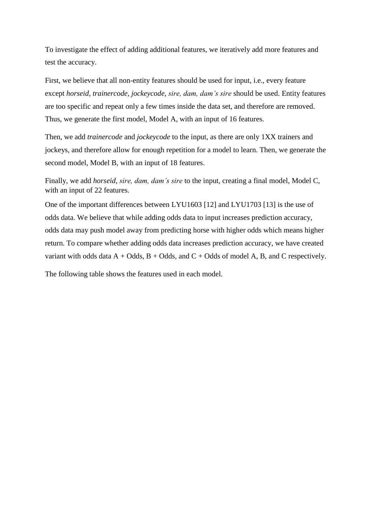To investigate the effect of adding additional features, we iteratively add more features and test the accuracy.

First, we believe that all non-entity features should be used for input, i.e., every feature except *horseid, trainercode, jockeycode, sire, dam, dam's sire* should be used. Entity features are too specific and repeat only a few times inside the data set, and therefore are removed. Thus, we generate the first model, Model A, with an input of 16 features.

Then, we add *trainercode* and *jockeycode* to the input, as there are only 1XX trainers and jockeys, and therefore allow for enough repetition for a model to learn. Then, we generate the second model, Model B, with an input of 18 features.

Finally, we add *horseid, sire, dam, dam's sire* to the input, creating a final model, Model C, with an input of 22 features.

One of the important differences between LYU1603 [12] and LYU1703 [13] is the use of odds data. We believe that while adding odds data to input increases prediction accuracy, odds data may push model away from predicting horse with higher odds which means higher return. To compare whether adding odds data increases prediction accuracy, we have created variant with odds data  $A + Odds$ ,  $B + Odds$ , and  $C + Odds$  of model A, B, and C respectively.

The following table shows the features used in each model.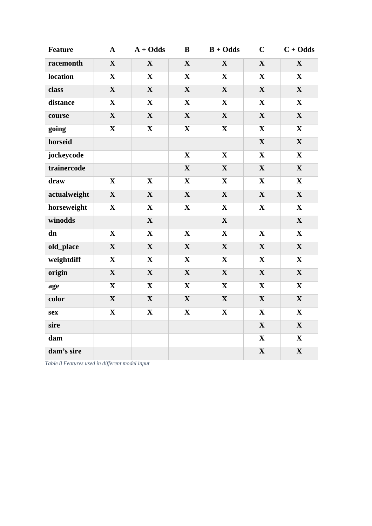| <b>Feature</b> | $\mathbf A$  | $A + Odds$  | B            | $B + Odds$   | $\mathbf C$  | $C + Odds$  |
|----------------|--------------|-------------|--------------|--------------|--------------|-------------|
| racemonth      | $\mathbf X$  | $\mathbf X$ | $\mathbf X$  | $\mathbf{X}$ | $\mathbf X$  | $\mathbf X$ |
| location       | $\mathbf{X}$ | $\mathbf X$ | $\mathbf X$  | $\mathbf X$  | $\mathbf X$  | $\mathbf X$ |
| class          | $\mathbf X$  | $\mathbf X$ | $\mathbf X$  | $\mathbf X$  | $\mathbf X$  | $\mathbf X$ |
| distance       | $\mathbf{X}$ | $\mathbf X$ | $\mathbf X$  | $\mathbf{X}$ | $\mathbf{X}$ | $\mathbf X$ |
| course         | $\mathbf X$  | $\mathbf X$ | $\mathbf X$  | $\mathbf X$  | $\mathbf X$  | $\mathbf X$ |
| going          | $\mathbf X$  | $\mathbf X$ | $\mathbf X$  | $\mathbf{X}$ | $\mathbf X$  | $\mathbf X$ |
| horseid        |              |             |              |              | $\mathbf X$  | $\mathbf X$ |
| jockeycode     |              |             | $\mathbf X$  | $\mathbf X$  | $\mathbf X$  | $\mathbf X$ |
| trainercode    |              |             | $\mathbf X$  | $\mathbf X$  | $\mathbf X$  | $\mathbf X$ |
| draw           | $\mathbf X$  | $\mathbf X$ | $\mathbf X$  | $\mathbf X$  | $\mathbf X$  | $\mathbf X$ |
| actualweight   | $\mathbf X$  | $\mathbf X$ | $\mathbf X$  | $\mathbf X$  | $\mathbf X$  | $\mathbf X$ |
| horseweight    | $\mathbf{X}$ | $\mathbf X$ | $\mathbf{X}$ | $\mathbf X$  | $\mathbf{X}$ | $\mathbf X$ |
| winodds        |              | $\mathbf X$ |              | $\mathbf{X}$ |              | $\mathbf X$ |
| dn             | $\mathbf{X}$ | $\mathbf X$ | $\mathbf X$  | $\mathbf{X}$ | $\mathbf X$  | $\mathbf X$ |
| old_place      | $\mathbf X$  | $\mathbf X$ | $\mathbf X$  | $\mathbf X$  | $\mathbf X$  | $\mathbf X$ |
| weightdiff     | $\mathbf X$  | $\mathbf X$ | $\mathbf X$  | $\mathbf X$  | $\mathbf X$  | $\mathbf X$ |
| origin         | $\mathbf X$  | $\mathbf X$ | $\mathbf X$  | $\mathbf X$  | $\mathbf X$  | $\mathbf X$ |
| age            | $\mathbf X$  | $\mathbf X$ | $\mathbf X$  | $\mathbf X$  | $\mathbf X$  | $\mathbf X$ |
| color          | $\mathbf X$  | $\mathbf X$ | $\mathbf X$  | $\mathbf X$  | $\mathbf X$  | $\mathbf X$ |
| sex            | $\mathbf X$  | $\mathbf X$ | $\mathbf X$  | $\mathbf X$  | $\mathbf X$  | $\mathbf X$ |
| sire           |              |             |              |              | $\mathbf X$  | $\mathbf X$ |
| dam            |              |             |              |              | $\mathbf X$  | $\mathbf X$ |
| dam's sire     |              |             |              |              | $\mathbf X$  | $\mathbf X$ |

<span id="page-36-0"></span>Table 8 Features used in different model input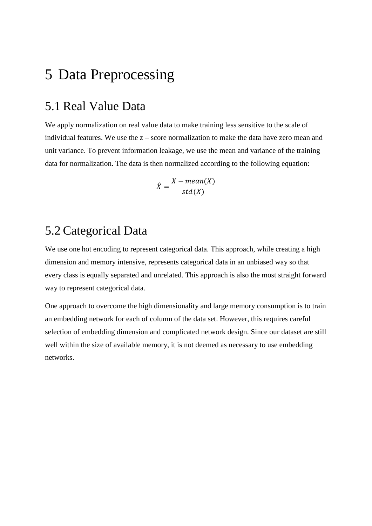# <span id="page-38-0"></span>5 Data Preprocessing

### <span id="page-38-1"></span>5.1 Real Value Data

We apply normalization on real value data to make training less sensitive to the scale of individual features. We use the z – score normalization to make the data have zero mean and unit variance. To prevent information leakage, we use the mean and variance of the training data for normalization. The data is then normalized according to the following equation:

$$
\hat{X} = \frac{X - mean(X)}{std(X)}
$$

## <span id="page-38-2"></span>5.2 Categorical Data

We use one hot encoding to represent categorical data. This approach, while creating a high dimension and memory intensive, represents categorical data in an unbiased way so that every class is equally separated and unrelated. This approach is also the most straight forward way to represent categorical data.

One approach to overcome the high dimensionality and large memory consumption is to train an embedding network for each of column of the data set. However, this requires careful selection of embedding dimension and complicated network design. Since our dataset are still well within the size of available memory, it is not deemed as necessary to use embedding networks.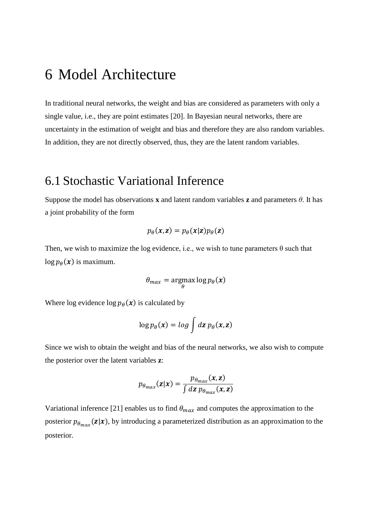## <span id="page-40-0"></span>6 Model Architecture

In traditional neural networks, the weight and bias are considered as parameters with only a single value, i.e., they are point estimates [20]. In Bayesian neural networks, there are uncertainty in the estimation of weight and bias and therefore they are also random variables. In addition, they are not directly observed, thus, they are the latent random variables.

### <span id="page-40-1"></span>6.1 Stochastic Variational Inference

Suppose the model has observations **x** and latent random variables **z** and parameters *θ*. It has a joint probability of the form

$$
p_{\theta}(x, z) = p_{\theta}(x|z) p_{\theta}(z)
$$

Then, we wish to maximize the log evidence, i.e., we wish to tune parameters  $\theta$  such that  $\log p_\theta(\mathbf{x})$  is maximum.

$$
\theta_{max} = \underset{\theta}{\text{argmax}} \log p_{\theta}(\boldsymbol{x})
$$

Where log evidence  $\log p_{\theta}(x)$  is calculated by

$$
\log p_{\theta}(x) = \log \int dz \, p_{\theta}(x, z)
$$

Since we wish to obtain the weight and bias of the neural networks, we also wish to compute the posterior over the latent variables **z**:

$$
p_{\theta_{max}}(\mathbf{z}|\mathbf{x}) = \frac{p_{\theta_{max}}(\mathbf{x}, \mathbf{z})}{\int d\mathbf{z} \; p_{\theta_{max}}(\mathbf{x}, \mathbf{z})}
$$

Variational inference [21] enables us to find  $\theta_{max}$  and computes the approximation to the posterior  $p_{\theta_{max}}(\mathbf{z}|\mathbf{x})$ , by introducing a parameterized distribution as an approximation to the posterior.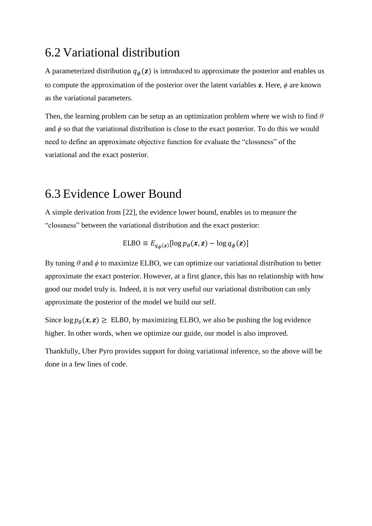### <span id="page-41-0"></span>6.2 Variational distribution

A parameterized distribution  $q_{\phi}(z)$  is introduced to approximate the posterior and enables us to compute the approximation of the posterior over the latent variables **z**. Here, *ϕ* are known as the variational parameters.

Then, the learning problem can be setup as an optimization problem where we wish to find *θ* and  $\phi$  so that the variational distribution is close to the exact posterior. To do this we would need to define an approximate objective function for evaluate the "clossness" of the variational and the exact posterior.

### <span id="page-41-1"></span>6.3 Evidence Lower Bound

A simple derivation from [22], the evidence lower bound, enables us to measure the "clossness" between the variational distribution and the exact posterior:

$$
ELBO \equiv E_{q_{\phi}(\mathbf{z})}[\log p_{\theta}(\mathbf{x}, \mathbf{z}) - \log q_{\phi}(\mathbf{z})]
$$

By tuning  $\theta$  and  $\phi$  to maximize ELBO, we can optimize our variational distribution to better approximate the exact posterior. However, at a first glance, this has no relationship with how good our model truly is. Indeed, it is not very useful our variational distribution can only approximate the posterior of the model we build our self.

Since  $\log p_{\theta}(x, z) \geq$  ELBO, by maximizing ELBO, we also be pushing the log evidence higher. In other words, when we optimize our guide, our model is also improved.

Thankfully, Uber Pyro provides support for doing variational inference, so the above will be done in a few lines of code.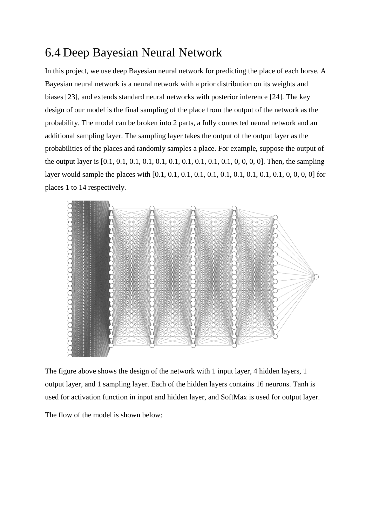## <span id="page-42-0"></span>6.4 Deep Bayesian Neural Network

In this project, we use deep Bayesian neural network for predicting the place of each horse. A Bayesian neural network is a neural network with a prior distribution on its weights and biases [23], and extends standard neural networks with posterior inference [24]. The key design of our model is the final sampling of the place from the output of the network as the probability. The model can be broken into 2 parts, a fully connected neural network and an additional sampling layer. The sampling layer takes the output of the output layer as the probabilities of the places and randomly samples a place. For example, suppose the output of the output layer is [0.1, 0.1, 0.1, 0.1, 0.1, 0.1, 0.1, 0.1, 0.1, 0.1, 0, 0, 0, 0]. Then, the sampling layer would sample the places with [0.1, 0.1, 0.1, 0.1, 0.1, 0.1, 0.1, 0.1, 0.1, 0.1, 0, 0, 0, 0] for places 1 to 14 respectively.



The figure above shows the design of the network with 1 input layer, 4 hidden layers, 1 output layer, and 1 sampling layer. Each of the hidden layers contains 16 neurons. Tanh is used for activation function in input and hidden layer, and SoftMax is used for output layer.

The flow of the model is shown below: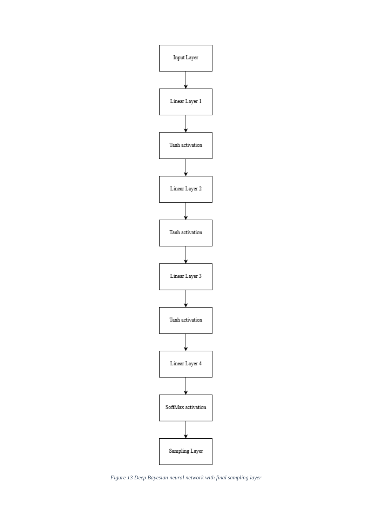

<span id="page-43-0"></span>*Figure 13 Deep Bayesian neural network with final sampling layer*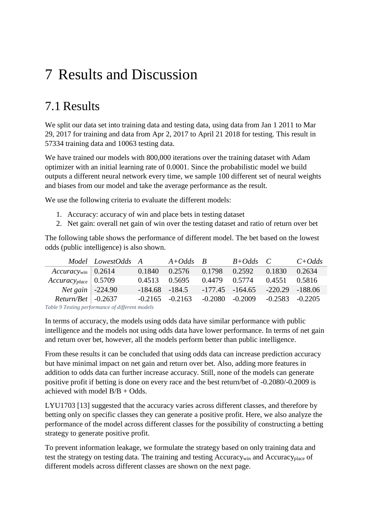# <span id="page-45-0"></span>7 Results and Discussion

## <span id="page-45-1"></span>7.1 Results

We split our data set into training data and testing data, using data from Jan 1 2011 to Mar 29, 2017 for training and data from Apr 2, 2017 to April 21 2018 for testing. This result in 57334 training data and 10063 testing data.

We have trained our models with 800,000 iterations over the training dataset with Adam optimizer with an initial learning rate of 0.0001. Since the probabilistic model we build outputs a different neural network every time, we sample 100 different set of neural weights and biases from our model and take the average performance as the result.

We use the following criteria to evaluate the different models:

- 1. Accuracy: accuracy of win and place bets in testing dataset
- 2. Net gain: overall net gain of win over the testing dataset and ratio of return over bet

The following table shows the performance of different model. The bet based on the lowest odds (public intelligence) is also shown.

|                                                       | Model LowestOdds A A+Odds B |                     |  | $B + Odds$ C                            | $C+Odds$ |
|-------------------------------------------------------|-----------------------------|---------------------|--|-----------------------------------------|----------|
| $Accuracy_{win}$ 0.2614                               |                             | 0.1840              |  | 0.2576 0.1798 0.2592 0.1830             | 0.2634   |
| $Accuracy_{place}$ 0.5709                             |                             | $0.4513$ $0.5695$   |  | 0.4479  0.5774  0.4551  0.5816          |          |
| <i>Net gain</i> $\vert$ -224.90                       |                             | $-184.68$ $-184.5$  |  | $-177.45$ $-164.65$ $-220.29$ $-188.06$ |          |
| $Return/ Bet$ -0.2637                                 |                             | $-0.2165$ $-0.2163$ |  | $-0.2080$ $-0.2009$ $-0.2583$ $-0.2205$ |          |
| Table Q Tooting would we are a of different way dolor |                             |                     |  |                                         |          |

<span id="page-45-2"></span>*Table 9 Testing performance of different models*

In terms of accuracy, the models using odds data have similar performance with public intelligence and the models not using odds data have lower performance. In terms of net gain and return over bet, however, all the models perform better than public intelligence.

From these results it can be concluded that using odds data can increase prediction accuracy but have minimal impact on net gain and return over bet. Also, adding more features in addition to odds data can further increase accuracy. Still, none of the models can generate positive profit if betting is done on every race and the best return/bet of -0.2080/-0.2009 is achieved with model B/B + Odds.

LYU1703 [13] suggested that the accuracy varies across different classes, and therefore by betting only on specific classes they can generate a positive profit. Here, we also analyze the performance of the model across different classes for the possibility of constructing a betting strategy to generate positive profit.

To prevent information leakage, we formulate the strategy based on only training data and test the strategy on testing data. The training and testing  $Accuracy_{win}$  and  $Accuracy_{place}$  of different models across different classes are shown on the next page.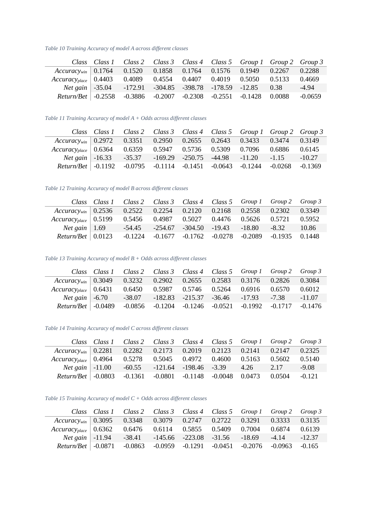<span id="page-47-0"></span>*Table 10 Training Accuracy of model A across different classes*

|                                                                                   |  |  |  | Class Class 1 Class 2 Class 3 Class 4 Class 5 Group 1 Group 2 Group 3 |           |
|-----------------------------------------------------------------------------------|--|--|--|-----------------------------------------------------------------------|-----------|
| $Accuracy_{win}$ 0.1764 0.1520 0.1858 0.1764 0.1576 0.1949 0.2267 0.2288          |  |  |  |                                                                       |           |
| $Accuracy_{place}$ 0.4403 0.4089 0.4554 0.4407 0.4019 0.5050 0.5133 0.4669        |  |  |  |                                                                       |           |
|                                                                                   |  |  |  | Net gain -35.04 -172.91 -304.85 -398.78 -178.59 -12.85 0.38           | $-4.94$   |
| $Return/Ret$ $-0.2558$ $-0.3886$ $-0.2007$ $-0.2308$ $-0.2551$ $-0.1428$ $0.0088$ |  |  |  |                                                                       | $-0.0659$ |

<span id="page-47-1"></span>*Table 11 Training Accuracy of model A + Odds across different classes*

|                                                                                    |  |  | Class Class 1 Class 2 Class 3 Class 4 Class 5 Group 1 Group 2 Group 3 |          |
|------------------------------------------------------------------------------------|--|--|-----------------------------------------------------------------------|----------|
| $Accuracy_{win}$ 0.2972 0.3351 0.2950 0.2655 0.2643 0.3433 0.3474 0.3149           |  |  |                                                                       |          |
| Accuracy <sub>place</sub> 0.6364 0.6359 0.5947 0.5736 0.5309 0.7096 0.6886 0.6145  |  |  |                                                                       |          |
|                                                                                    |  |  | Net gain -16.33 -35.37 -169.29 -250.75 -44.98 -11.20 -1.15            | $-10.27$ |
| Return/Bet $\vert$ -0.1192 -0.0795 -0.1114 -0.1451 -0.0643 -0.1244 -0.0268 -0.1369 |  |  |                                                                       |          |

<span id="page-47-2"></span>*Table 12 Training Accuracy of model B across different classes*

|                                                                                   |                          | Class Class 1 Class 2 Class 3 Class 4 Class 5 Group 1 Group 2 Group 3 |  |  |                                                                      |       |
|-----------------------------------------------------------------------------------|--------------------------|-----------------------------------------------------------------------|--|--|----------------------------------------------------------------------|-------|
| $Accuracy_{win}$ 0.2536 0.2522 0.2254 0.2120 0.2168 0.2558 0.2302 0.3349          |                          |                                                                       |  |  |                                                                      |       |
| Accuracy <sub>place</sub> 0.5199 0.5456 0.4987 0.5027 0.4476 0.5626 0.5721 0.5952 |                          |                                                                       |  |  |                                                                      |       |
|                                                                                   | <i>Net gain</i>   $1.69$ |                                                                       |  |  | $-54.45$ $-254.67$ $-304.50$ $-19.43$ $-18.80$ $-8.32$               | 10.86 |
| $Return/ Bet \mid 0.0123$                                                         |                          |                                                                       |  |  | $-0.1224$ $-0.1677$ $-0.1762$ $-0.0278$ $-0.2089$ $-0.1935$ $0.1448$ |       |

<span id="page-47-3"></span>*Table 13 Training Accuracy of model B + Odds across different classes*

|                                                                                         | Class Class 1 Class 2 Class 3 Class 4 Class 5 Group 1 Group 2 Group 3 |  |  |                                                                       |        |
|-----------------------------------------------------------------------------------------|-----------------------------------------------------------------------|--|--|-----------------------------------------------------------------------|--------|
| $Accuracy_{win}$ 0.3049 0.3232 0.2902 0.2655 0.2583 0.3176 0.2826 0.3084                |                                                                       |  |  |                                                                       |        |
| $Accuracy_{place}   0.6431 \t 0.6450 \t 0.5987 \t 0.5746 \t 0.5264 \t 0.6916 \t 0.6570$ |                                                                       |  |  |                                                                       | 0.6012 |
|                                                                                         | Net gain   -6.70 -38.07 -182.83 -215.37 -36.46 -17.93 -7.38 -11.07    |  |  |                                                                       |        |
| $Return/ Bet$ -0.0489                                                                   |                                                                       |  |  | $-0.0856$ $-0.1204$ $-0.1246$ $-0.0521$ $-0.1992$ $-0.1717$ $-0.1476$ |        |

<span id="page-47-4"></span>*Table 14 Training Accuracy of model C across different classes*

|                                                                               | Class Class 1 Class 2 Class 3 Class 4 Class 5 Group 1 Group 2 Group 3 |  |      |        |          |
|-------------------------------------------------------------------------------|-----------------------------------------------------------------------|--|------|--------|----------|
| $Accuracy_{win}$ 0.2281 0.2282 0.2173 0.2019 0.2123 0.2141 0.2147             |                                                                       |  |      |        | 0.2325   |
| $Accuracy_{place}   0.4964 \t 0.5278 \t 0.5045 \t 0.4972 \t 0.4600 \t 0.5163$ |                                                                       |  |      | 0.5602 | 0.5140   |
|                                                                               | <i>Net gain</i> $\vert$ -11.00 -60.55 -121.64 -198.46 -3.39           |  | 4.26 | 2.17   | $-9.08$  |
| $Return/ Bet$ $-0.0803$ $-0.1361$ $-0.0801$ $-0.1148$ $-0.0048$ 0.0473        |                                                                       |  |      | 0.0504 | $-0.121$ |

<span id="page-47-5"></span>*Table 15 Training Accuracy of model C + Odds across different classes*

|                                                                              | Class Class 1 Class 2 Class 3 Class 4 Class 5 Group 1 Group 2 Group 3 |  |  |  |
|------------------------------------------------------------------------------|-----------------------------------------------------------------------|--|--|--|
| $Accuracy_{win}$   0.3095 0.3348 0.3079 0.2747 0.2722 0.3291 0.3333 0.3135   |                                                                       |  |  |  |
| $Accuracy_{place}$   0.6362 0.6476 0.6114 0.5855 0.5409 0.7004 0.6874 0.6139 |                                                                       |  |  |  |
|                                                                              | Net gain   -11.94 -38.41 -145.66 -223.08 -31.56 -18.69 -4.14 -12.37   |  |  |  |
| Return/Bet   -0.0871 -0.0863 -0.0959 -0.1291 -0.0451 -0.2076 -0.0963 -0.165  |                                                                       |  |  |  |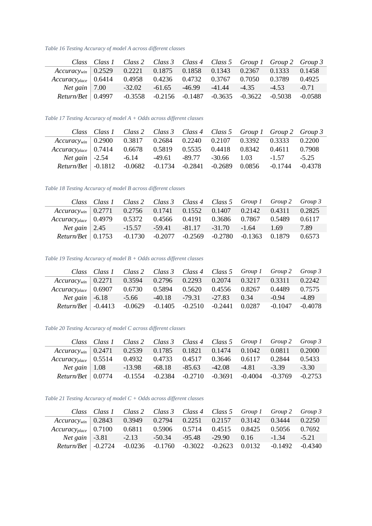<span id="page-48-0"></span>*Table 16 Testing Accuracy of model A across different classes*

|                                                                                    |           |  | Class Class 1 Class 2 Class 3 Class 4 Class 5 Group 1 Group 2 Group 3 |         |           |
|------------------------------------------------------------------------------------|-----------|--|-----------------------------------------------------------------------|---------|-----------|
| $Accuracy_{win}$ 0.2529 0.2221 0.1875 0.1858 0.1343 0.2367 0.1333 0.1458           |           |  |                                                                       |         |           |
| Accuracy <sub>place</sub>   0.6414  0.4958  0.4236  0.4732  0.3767  0.7050  0.3789 |           |  |                                                                       |         | 0.4925    |
|                                                                                    |           |  | <i>Net gain</i>   7.00 -32.02 -61.65 -46.99 -41.44 -4.35              | $-4.53$ | $-0.71$   |
| $Return/ Bet \mid 0.4997$                                                          | $-0.3558$ |  | $-0.2156$ $-0.1487$ $-0.3635$ $-0.3622$ $-0.5038$                     |         | $-0.0588$ |

<span id="page-48-1"></span>*Table 17 Testing Accuracy of model A + Odds across different classes*

|                                                                            |  |  | Class Class 1 Class 2 Class 3 Class 4 Class 5 Group 1 Group 2 Group 3     |  |
|----------------------------------------------------------------------------|--|--|---------------------------------------------------------------------------|--|
| $Accuracy_{win}$   0.2900 0.3817 0.2684 0.2240 0.2107 0.3392 0.3333 0.2200 |  |  |                                                                           |  |
| $Accuracy_{place}$ 0.7414 0.6678 0.5819 0.5535 0.4418 0.8342 0.4611 0.7908 |  |  |                                                                           |  |
|                                                                            |  |  | <i>Net gain</i> $\vert$ -2.54 -6.14 -49.61 -89.77 -30.66 1.03 -1.57 -5.25 |  |
| Return/Bet -0.1812 -0.0682 -0.1734 -0.2841 -0.2689 0.0856 -0.1744 -0.4378  |  |  |                                                                           |  |

<span id="page-48-2"></span>*Table 18 Testing Accuracy of model B across different classes*

|                                                                                   | Class Class 1 Class 2 Class 3 Class 4 Class 5 Group 1 Group 2 Group 3 |  |  |                                                                     |      |
|-----------------------------------------------------------------------------------|-----------------------------------------------------------------------|--|--|---------------------------------------------------------------------|------|
| $Accuracy_{win}$ 0.2771 0.2756 0.1741 0.1552 0.1407 0.2142 0.4311 0.2825          |                                                                       |  |  |                                                                     |      |
| Accuracy <sub>place</sub> 0.4979 0.5372 0.4566 0.4191 0.3686 0.7867 0.5489 0.6117 |                                                                       |  |  |                                                                     |      |
|                                                                                   | Net gain 2.45 -15.57 -59.41 -81.17 -31.70 -1.64 1.69                  |  |  |                                                                     | 7.89 |
| $Return/ Bet \mid 0.1753$                                                         |                                                                       |  |  | $-0.1730$ $-0.2077$ $-0.2569$ $-0.2780$ $-0.1363$ $0.1879$ $0.6573$ |      |

<span id="page-48-3"></span>*Table 19 Testing Accuracy of model B + Odds across different classes*

|                                                                               | Class Class 1 Class 2 Class 3 Class 4 Class 5 Group 1 Group 2 Group 3 |  |                                        |                   |         |
|-------------------------------------------------------------------------------|-----------------------------------------------------------------------|--|----------------------------------------|-------------------|---------|
| $Accuracy_{win}$ 0.2271 0.3594 0.2796 0.2293 0.2074 0.3217 0.3311 0.2242      |                                                                       |  |                                        |                   |         |
| $Accuracy_{place}   0.6907 \t 0.6730 \t 0.5894 \t 0.5620 \t 0.4556 \t 0.8267$ |                                                                       |  |                                        | 0.4489 0.7575     |         |
|                                                                               | <i>Net gain</i> $-6.18$ $-5.66$                                       |  | $-40.18$ $-79.31$ $-27.83$ $0.34$      | $-0.94$           | $-4.89$ |
| $Return/ Bet$   $-0.4413$ $-0.0629$                                           |                                                                       |  | $-0.1405$ $-0.2510$ $-0.2441$ $0.0287$ | $-0.1047 -0.4078$ |         |

<span id="page-48-4"></span>*Table 20 Testing Accuracy of model C across different classes*

|                                                                               | Class Class 1 Class 2 Class 3 Class 4 Class 5 Group 1 Group 2 Group 3 |  |                                                                       |         |         |
|-------------------------------------------------------------------------------|-----------------------------------------------------------------------|--|-----------------------------------------------------------------------|---------|---------|
| $Accuracy_{win}$ 0.2471 0.2539 0.1785 0.1821 0.1474 0.1042                    |                                                                       |  |                                                                       | 0.0811  | 0.2000  |
| $Accuracy_{place}   0.5514 \t 0.4932 \t 0.4733 \t 0.4517 \t 0.3646 \t 0.6117$ |                                                                       |  |                                                                       | 0.2844  | 0.5433  |
|                                                                               | Net gain   1.08 -13.98 -68.18 -85.63 -42.08 -4.81                     |  |                                                                       | $-3.39$ | $-3.30$ |
| $Return/ Bet \mid 0.0774$                                                     |                                                                       |  | $-0.1554$ $-0.2384$ $-0.2710$ $-0.3691$ $-0.4004$ $-0.3769$ $-0.2753$ |         |         |

<span id="page-48-5"></span>*Table 21 Testing Accuracy of model C + Odds across different classes*

|                                                              |  |                                                  |                        |        | Class Class 1 Class 2 Class 3 Class 4 Class 5 Group 1 Group 2 Group 3 |           |
|--------------------------------------------------------------|--|--------------------------------------------------|------------------------|--------|-----------------------------------------------------------------------|-----------|
| $Accuracy_{win}$   0.2843 0.3949 0.2794 0.2251 0.2157 0.3142 |  |                                                  |                        |        | 0.3444                                                                | 0.2250    |
| $Accuracy_{place} \mid 0.7100$                               |  | 0.6811 0.5906 0.5714 0.4515                      |                        | 0.8425 | 0.5056                                                                | 0.7692    |
|                                                              |  |                                                  | $-95.48$ $-29.90$ 0.16 |        | $-1.34$                                                               | $-5.21$   |
| $Return/ Bet \mid -0.2724$                                   |  | $-0.0236$ $-0.1760$ $-0.3022$ $-0.2623$ $0.0132$ |                        |        | $-0.1492$                                                             | $-0.4340$ |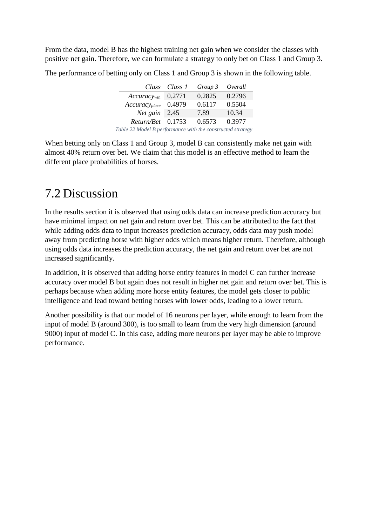From the data, model B has the highest training net gain when we consider the classes with positive net gain. Therefore, we can formulate a strategy to only bet on Class 1 and Group 3.

The performance of betting only on Class 1 and Group 3 is shown in the following table.

<span id="page-49-1"></span>

|                                                            | Class Class 1 | Group 3 | Overall |  |  |  |  |
|------------------------------------------------------------|---------------|---------|---------|--|--|--|--|
| $Accuracy_{win}$   0.2771                                  |               | 0.2825  | 0.2796  |  |  |  |  |
| $Accuracy_{place}$ 0.4979                                  |               | 0.6117  | 0.5504  |  |  |  |  |
| <i>Net</i> gain $\vert 2.45 \vert$                         |               | 7.89    | 10.34   |  |  |  |  |
| $Return/ Bet \mid 0.1753$                                  |               | 0.6573  | 0.3977  |  |  |  |  |
| Table 22 Model B performance with the constructed strategy |               |         |         |  |  |  |  |

When betting only on Class 1 and Group 3, model B can consistently make net gain with almost 40% return over bet. We claim that this model is an effective method to learn the different place probabilities of horses.

## <span id="page-49-0"></span>7.2 Discussion

In the results section it is observed that using odds data can increase prediction accuracy but have minimal impact on net gain and return over bet. This can be attributed to the fact that while adding odds data to input increases prediction accuracy, odds data may push model away from predicting horse with higher odds which means higher return. Therefore, although using odds data increases the prediction accuracy, the net gain and return over bet are not increased significantly.

In addition, it is observed that adding horse entity features in model C can further increase accuracy over model B but again does not result in higher net gain and return over bet. This is perhaps because when adding more horse entity features, the model gets closer to public intelligence and lead toward betting horses with lower odds, leading to a lower return.

Another possibility is that our model of 16 neurons per layer, while enough to learn from the input of model B (around 300), is too small to learn from the very high dimension (around 9000) input of model C. In this case, adding more neurons per layer may be able to improve performance.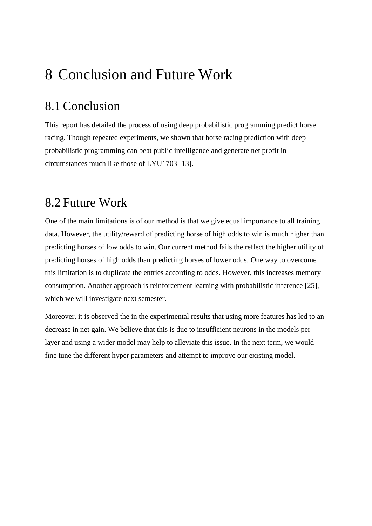# <span id="page-51-0"></span>8 Conclusion and Future Work

## <span id="page-51-1"></span>8.1 Conclusion

This report has detailed the process of using deep probabilistic programming predict horse racing. Though repeated experiments, we shown that horse racing prediction with deep probabilistic programming can beat public intelligence and generate net profit in circumstances much like those of LYU1703 [13].

### <span id="page-51-2"></span>8.2 Future Work

One of the main limitations is of our method is that we give equal importance to all training data. However, the utility/reward of predicting horse of high odds to win is much higher than predicting horses of low odds to win. Our current method fails the reflect the higher utility of predicting horses of high odds than predicting horses of lower odds. One way to overcome this limitation is to duplicate the entries according to odds. However, this increases memory consumption. Another approach is reinforcement learning with probabilistic inference [25], which we will investigate next semester.

Moreover, it is observed the in the experimental results that using more features has led to an decrease in net gain. We believe that this is due to insufficient neurons in the models per layer and using a wider model may help to alleviate this issue. In the next term, we would fine tune the different hyper parameters and attempt to improve our existing model.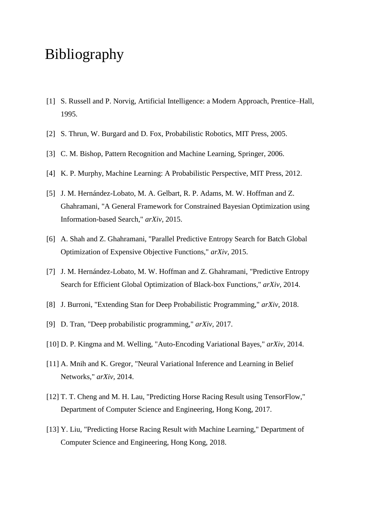# <span id="page-53-0"></span>Bibliography

- [1] S. Russell and P. Norvig, Artificial Intelligence: a Modern Approach, Prentice–Hall, 1995.
- [2] S. Thrun, W. Burgard and D. Fox, Probabilistic Robotics, MIT Press, 2005.
- [3] C. M. Bishop, Pattern Recognition and Machine Learning, Springer, 2006.
- [4] K. P. Murphy, Machine Learning: A Probabilistic Perspective, MIT Press, 2012.
- [5] J. M. Hernández-Lobato, M. A. Gelbart, R. P. Adams, M. W. Hoffman and Z. Ghahramani, "A General Framework for Constrained Bayesian Optimization using Information-based Search," *arXiv,* 2015.
- [6] A. Shah and Z. Ghahramani, "Parallel Predictive Entropy Search for Batch Global Optimization of Expensive Objective Functions," *arXiv,* 2015.
- [7] J. M. Hernández-Lobato, M. W. Hoffman and Z. Ghahramani, "Predictive Entropy Search for Efficient Global Optimization of Black-box Functions," *arXiv,* 2014.
- [8] J. Burroni, "Extending Stan for Deep Probabilistic Programming," *arXiv,* 2018.
- [9] D. Tran, "Deep probabilistic programming," *arXiv,* 2017.
- [10] D. P. Kingma and M. Welling, "Auto-Encoding Variational Bayes," *arXiv,* 2014.
- [11] A. Mnih and K. Gregor, "Neural Variational Inference and Learning in Belief Networks," *arXiv,* 2014.
- [12] T. T. Cheng and M. H. Lau, "Predicting Horse Racing Result using TensorFlow," Department of Computer Science and Engineering, Hong Kong, 2017.
- [13] Y. Liu, "Predicting Horse Racing Result with Machine Learning," Department of Computer Science and Engineering, Hong Kong, 2018.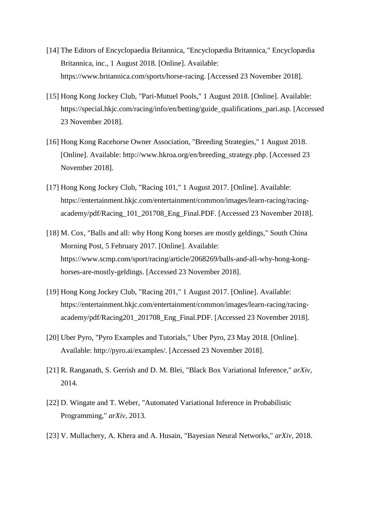- [14] The Editors of Encyclopaedia Britannica, "Encyclopædia Britannica," Encyclopædia Britannica, inc., 1 August 2018. [Online]. Available: https://www.britannica.com/sports/horse-racing. [Accessed 23 November 2018].
- [15] Hong Kong Jockey Club, "Pari-Mutuel Pools," 1 August 2018. [Online]. Available: https://special.hkjc.com/racing/info/en/betting/guide\_qualifications\_pari.asp. [Accessed 23 November 2018].
- [16] Hong Kong Racehorse Owner Association, "Breeding Strategies," 1 August 2018. [Online]. Available: http://www.hkroa.org/en/breeding\_strategy.php. [Accessed 23 November 2018].
- [17] Hong Kong Jockey Club, "Racing 101," 1 August 2017. [Online]. Available: https://entertainment.hkjc.com/entertainment/common/images/learn-racing/racingacademy/pdf/Racing\_101\_201708\_Eng\_Final.PDF. [Accessed 23 November 2018].
- [18] M. Cox, "Balls and all: why Hong Kong horses are mostly geldings," South China Morning Post, 5 February 2017. [Online]. Available: https://www.scmp.com/sport/racing/article/2068269/balls-and-all-why-hong-konghorses-are-mostly-geldings. [Accessed 23 November 2018].
- [19] Hong Kong Jockey Club, "Racing 201," 1 August 2017. [Online]. Available: https://entertainment.hkjc.com/entertainment/common/images/learn-racing/racingacademy/pdf/Racing201\_201708\_Eng\_Final.PDF. [Accessed 23 November 2018].
- [20] Uber Pyro, "Pyro Examples and Tutorials," Uber Pyro, 23 May 2018. [Online]. Available: http://pyro.ai/examples/. [Accessed 23 November 2018].
- [21] R. Ranganath, S. Gerrish and D. M. Blei, "Black Box Variational Inference," *arXiv,*  2014.
- [22] D. Wingate and T. Weber, "Automated Variational Inference in Probabilistic Programming," *arXiv,* 2013.
- [23] V. Mullachery, A. Khera and A. Husain, "Bayesian Neural Networks," *arXiv,* 2018.